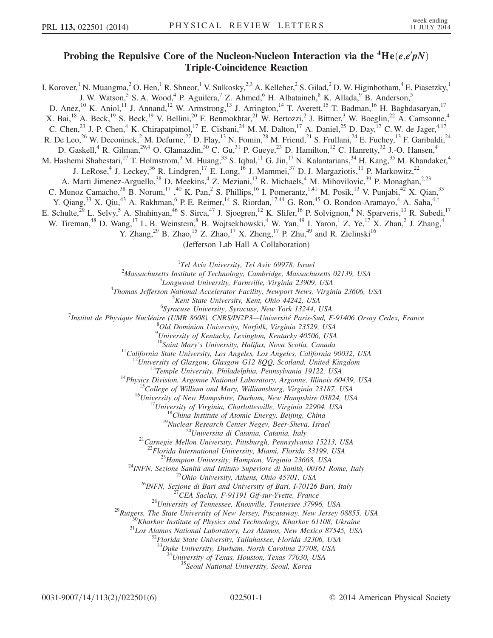## Probing the Repulsive Core of the Nucleon-Nucleon Interaction via the  ${}^4\text{He}(e,e'pN)$ Triple-Coincidence Reaction

I. Korover,<sup>1</sup> N. Muangma,<sup>2</sup> O. Hen,<sup>1</sup> R. Shneor,<sup>1</sup> V. Sulkosky,<sup>2,3</sup> A. Kelleher,<sup>2</sup> S. Gilad,<sup>2</sup> D. W. Higinbotham,<sup>4</sup> E. Piasetzky,<sup>1</sup> J. W. Watson,<sup>5</sup> S. A. Wood,<sup>4</sup> P. Aguilera,<sup>7</sup> Z. Ahmed,<sup>6</sup> H. Albataineh,<sup>8</sup> K. Allada,<sup>9</sup> B. Anderson,<sup>5</sup> D. Anez,<sup>10</sup> K. Aniol,<sup>11</sup> J. Annand,<sup>12</sup> W. Armstrong,<sup>13</sup> J. Arrington,<sup>14</sup> T. Averett,<sup>15</sup> T. Badman,<sup>16</sup> H. Baghdasaryan,<sup>17</sup> X. Bai,<sup>18</sup> A. Beck,<sup>19</sup> S. Beck,<sup>19</sup> V. Bellini,<sup>20</sup> F. Benmokhtar,<sup>21</sup> W. Bertozzi,<sup>2</sup> J. Bittner,<sup>3</sup> W. Boeglin,<sup>22</sup> A. Camsonne,<sup>4</sup> C. Chen,<sup>23</sup> J.-P. Chen,<sup>4</sup> K. Chirapatpimol,<sup>17</sup> E. Cisbani,<sup>24</sup> M. M. Dalton,<sup>17</sup> A. Daniel,<sup>25</sup> D. Day,<sup>17</sup> C. W. de Jager,<sup>4,17</sup> R. De Leo,<sup>26</sup> W. Deconinck,<sup>2</sup> M. Defurne,<sup>27</sup> D. Flay,<sup>13</sup> N. Fomin,<sup>28</sup> M. Friend,<sup>21</sup> S. Frullani,<sup>24</sup> E. Fuchey,<sup>13</sup> F. Garibaldi,<sup>24</sup> D. Gaskell, <sup>4</sup> R. Gilman,  $^{29,4}$  O. Glamazdin,  $^{30}$  C. Gu,  $^{31}$  P. Gueye,  $^{23}$  D. Hamilton,  $^{12}$  C. Hanretty,  $^{32}$  J.-O. Hansen,  $^{4}$ M. Hashemi Shabestari,<sup>17</sup> T. Holmstrom,<sup>3</sup> M. Huang,<sup>33</sup> S. Iqbal,<sup>11</sup> G. Jin,<sup>17</sup> N. Kalantarians,<sup>34</sup> H. Kang,<sup>35</sup> M. Khandaker,<sup>4</sup> J. LeRose,<sup>4</sup> J. Leckey,<sup>36</sup> R. Lindgren,<sup>17</sup> E. Long,<sup>16</sup> J. Mammei,<sup>37</sup> D. J. Margaziotis,<sup>11</sup> P. Markowitz,<sup>22</sup> A. Marti Jimenez-Arguello,<sup>38</sup> D. Meekins,<sup>4</sup> Z. Meziani,<sup>13</sup> R. Michaels,<sup>4</sup> M. Mihovilovic,<sup>39</sup> P. Monaghan,<sup>2,23</sup> C. Munoz Camacho,  $38$  B. Norum,  $17$ ,  $40$  K. Pan,  $2$  S. Phillips,  $16$  I. Pomerantz,  $1,41$  M. Posik,  $13$  V. Punjabi,  $42$  X. Qian,  $33$ Y. Qiang,<sup>33</sup> X. Qiu,<sup>43</sup> A. Rakhman,<sup>6</sup> P. E. Reimer,<sup>14</sup> S. Riordan,<sup>17,44</sup> G. Ron,<sup>45</sup> O. Rondon-Aramayo,<sup>4</sup> A. Saha,<sup>4[,\\*](#page-4-0)</sup> E. Schulte,<sup>29</sup> L. Selvy,<sup>5</sup> A. Shahinyan,<sup>46</sup> S. Sirca,<sup>47</sup> J. Sjoegren,<sup>12</sup> K. Slifer,<sup>16</sup> P. Solvignon,<sup>4</sup> N. Sparveris,<sup>13</sup> R. Subedi,<sup>17</sup> W. Tireman,<sup>48</sup> D. Wang,<sup>17</sup> L. B. Weinstein,<sup>8</sup> B. Wojtsekhowski,<sup>4</sup> W. Yan,<sup>49</sup> I. Yaron,<sup>1</sup> Z. Ye,<sup>17</sup> X. Zhan,<sup>2</sup> J. Zhang,<sup>4</sup> Y. Zhang,<sup>29</sup> B. Zhao,<sup>15</sup> Z. Zhao,<sup>17</sup> X. Zheng,<sup>17</sup> P. Zhu,<sup>49</sup> and R. Zielinski<sup>16</sup> (Jefferson Lab Hall A Collaboration)

<span id="page-0-0"></span><sup>1</sup>Tel Aviv University, Tel Aviv 69978, Israel<sup>2</sup>Massachusetts Institute of Technology, Cambridge, Massachus

 $^{2}$ Massachusetts Institute of Technology, Cambridge, Massachusetts 02139, USA

<sup>3</sup>Longwood University, Farmville, Virginia 23909, USA

<sup>4</sup>Thomas Jefferson National Accelerator Facility, Newport News, Virginia 23606, USA

 $5$ Kent State University, Kent, Ohio 44242, USA<br> $6$ Syracuse University, Syracuse, New York 13244, USA Syracuse University, Syracuse, New York 13244, USA<sup>, 6</sup>Syracuse University, Syracuse, New York 13244, USA<br>Thatitut de Physique Nuelégire (UMP 8608), CNPS/IN2P3, Université Paris Sud, E

Institut de Physique Nucléaire (UMR 8608), CNRS/IN2P3—Université Paris-Sud, F-91406 Orsay Cedex, France<br><sup>8</sup>Old Deminier University Nerfelly Vincinia 22520, USA

Old Dominion University, Norfolk, Virginia 23529, USA

<sup>9</sup>University of Kentucky, Lexington, Kentucky 40506, USA

<sup>10</sup>Saint Mary's University, Halifax, Nova Scotia, Canada<br><sup>11</sup>California State University, Los Angeles, Los Angeles, California 90032, USA<br><sup>12</sup>University of Glasgow, Glasgow G12 8QQ, Scotland, United Kingdom<br><sup>13</sup>Temple Un

<sup>22</sup>Florida International University, Miami, Florida 33199, USA<br><sup>23</sup>Hampton University, Hampton, Virginia 23668, USA<br><sup>24</sup>INFN, Sezione Sanità and Istituto Superiore di Sanità, 00161 Rome, Italy<br><sup>25</sup>Ohio University, Athens

<sup>33</sup>Duke University, Durham, North Carolina 27708, USA

 $34$ University of Texas, Houston, Texas 77030, USA  $35$ Seoul National University, Seoul, Korea

0031-9007/14/113(2)/022501(6) 022501-1 © 2014 American Physical Society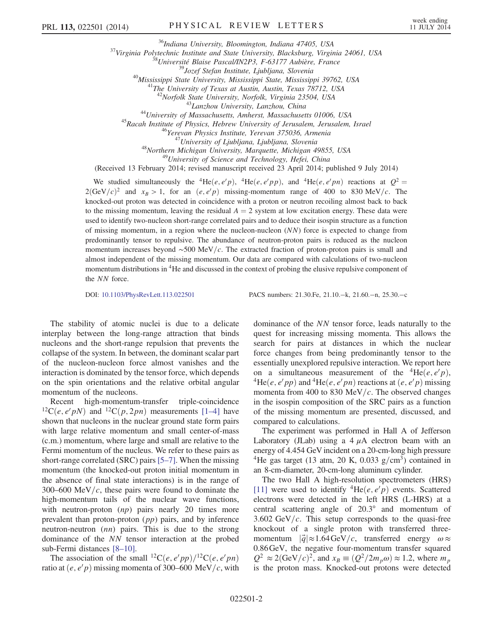<sup>36</sup>Indiana University, Bloomington, Indiana 47405, USA<br><sup>37</sup>Virginia Polytechnic Institute and State University, Blacksburg, Virginia 24061, USA<br><sup>38</sup>Université Blaise Pascal/IN2P3, F-63177 Aubière, France<br><sup>39</sup>Jozef Stefan

<sup>43</sup>Lanzhou University, Lanzhou, China<br><sup>44</sup>University of Massachusetts, Amherst, Massachusetts 01006, USA<br><sup>45</sup>Racah Institute of Physics, Hebrew University of Jerusalem, Jerusalem, Israel<br><sup>46</sup>Yerevan Physics Institute, Ye

(Received 13 February 2014; revised manuscript received 23 April 2014; published 9 July 2014)

We studied simultaneously the <sup>4</sup>He $(e, e'p)$ , <sup>4</sup>He $(e, e'pp)$ , and <sup>4</sup>He $(e, e'pn)$  reactions at  $Q^2 =$  $2(\text{GeV}/c)^2$  and  $x_B > 1$ , for an  $(e, e/p)$  missing-momentum range of 400 to 830 MeV/c. The knocked-out proton was detected in coincidence with a proton or neutron recoiling almost back to back to the missing momentum, leaving the residual  $A = 2$  system at low excitation energy. These data were used to identify two-nucleon short-range correlated pairs and to deduce their isospin structure as a function of missing momentum, in a region where the nucleon-nucleon (NN) force is expected to change from predominantly tensor to repulsive. The abundance of neutron-proton pairs is reduced as the nucleon momentum increases beyond  $\sim$ 500 MeV/c. The extracted fraction of proton-proton pairs is small and almost independent of the missing momentum. Our data are compared with calculations of two-nucleon momentum distributions in <sup>4</sup>He and discussed in the context of probing the elusive repulsive component of the NN force.

DOI: [10.1103/PhysRevLett.113.022501](http://dx.doi.org/10.1103/PhysRevLett.113.022501) PACS numbers: 21.30.Fe, 21.10.−k, 21.60.−n, 25.30.−c

The stability of atomic nuclei is due to a delicate interplay between the long-range attraction that binds nucleons and the short-range repulsion that prevents the collapse of the system. In between, the dominant scalar part of the nucleon-nucleon force almost vanishes and the interaction is dominated by the tensor force, which depends on the spin orientations and the relative orbital angular momentum of the nucleons.

Recent high-momentum-transfer triple-coincidence <sup>12</sup>C $(e, e'pN)$  and <sup>12</sup>C $(p, 2pn)$  measurements [1–[4\]](#page-4-1) have shown that nucleons in the nuclear ground state form pairs with large relative momentum and small center-of-mass (c.m.) momentum, where large and small are relative to the Fermi momentum of the nucleus. We refer to these pairs as short-range correlated (SRC) pairs [5–[7\]](#page-5-0). When the missing momentum (the knocked-out proton initial momentum in the absence of final state interactions) is in the range of 300–600 MeV/ $c$ , these pairs were found to dominate the high-momentum tails of the nuclear wave functions, with neutron-proton  $(np)$  pairs nearly 20 times more prevalent than proton-proton  $(pp)$  pairs, and by inference neutron-neutron (nn) pairs. This is due to the strong dominance of the NN tensor interaction at the probed sub-Fermi distances [8–[10\].](#page-5-1)

The association of the small <sup>12</sup>C(e, e'pp)/<sup>12</sup>C(e, e'pn) ratio at  $(e, e'p)$  missing momenta of 300–600 MeV/c, with dominance of the NN tensor force, leads naturally to the quest for increasing missing momenta. This allows the search for pairs at distances in which the nuclear force changes from being predominantly tensor to the essentially unexplored repulsive interaction. We report here on a simultaneous measurement of the <sup>4</sup>He $(e, e'p)$ ,<br><sup>4</sup>He $(e, e'pp)$  and <sup>4</sup>He $(e, e'pn)$  reactions at  $(e, e'p)$  missing *pp*) and <sup>4</sup>He(*e*, *e'pn*) reactions at (*e*, *e'p*) missing momenta from 400 to 830 MeV/ $c$ . The observed changes in the isospin composition of the SRC pairs as a function of the missing momentum are presented, discussed, and compared to calculations.

The experiment was performed in Hall A of Jefferson Laboratory (JLab) using a  $4 \mu A$  electron beam with an energy of 4.454 GeV incident on a 20-cm-long high pressure <sup>4</sup>He gas target (13 atm, 20 K, 0.033  $g/cm<sup>3</sup>$ ) contained in an 8-cm-diameter, 20-cm-long aluminum cylinder.

The two Hall A high-resolution spectrometers (HRS) [\[11\]](#page-5-2) were used to identify  ${}^{4}He(e, e'p)$  events. Scattered electrons were detected in the left HRS (L-HRS) at a central scattering angle of 20.3° and momentum of 3.602 GeV/ $c$ . This setup corresponds to the quasi-free knockout of a single proton with transferred threemomentum  $|\vec{q}| \approx 1.64 \,\text{GeV}/c$ , transferred energy  $\omega \approx$ 0.86GeV, the negative four-momentum transfer squared  $Q^2 \approx 2(\text{GeV}/c)^2$ , and  $x_B \equiv (Q^2/2m_p\omega) \approx 1.2$ , where  $m_p$ is the proton mass. Knocked-out protons were detected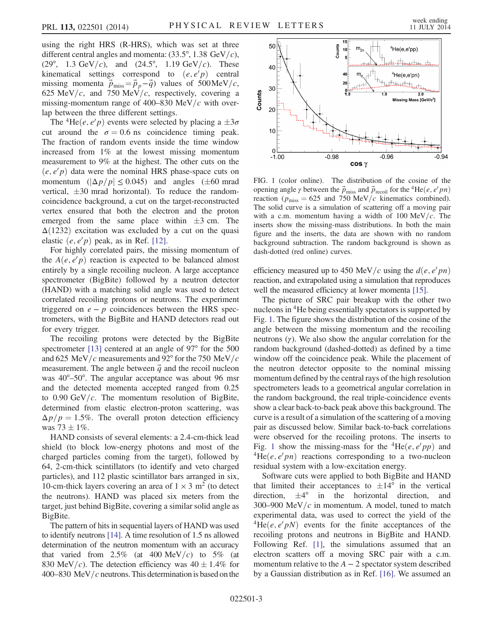using the right HRS (R-HRS), which was set at three different central angles and momenta:  $(33.5^{\circ}, 1.38 \text{ GeV}/c)$ , (29°, 1.3 GeV/c), and (24.5°, 1.19 GeV/c). These kinematical settings correspond to  $(e, e^i p)$  central missing momenta  $\vec{p}_{\text{miss}} = \vec{p}_p - \vec{q}$  values of 500MeV/c, 625 MeV/c, and 750 MeV/c, respectively, covering a missing-momentum range of 400–830 MeV/ $c$  with overlap between the three different settings.

The <sup>4</sup>He(*e*, *e'p*) events were selected by placing a  $\pm 3\sigma$ cut around the  $\sigma = 0.6$  ns coincidence timing peak. The fraction of random events inside the time window increased from 1% at the lowest missing momentum measurement to 9% at the highest. The other cuts on the  $(e, e'p)$  data were the nominal HRS phase-space cuts on momentum  $(|\Delta p/p| \le 0.045)$  and angles ( $\pm 60$  mrad vertical,  $\pm 30$  mrad horizontal). To reduce the randomcoincidence background, a cut on the target-reconstructed vertex ensured that both the electron and the proton emerged from the same place within  $\pm 3$  cm. The  $\Delta(1232)$  excitation was excluded by a cut on the quasi elastic  $(e, e/p)$  peak, as in Ref. [\[12\]](#page-5-3).

For highly correlated pairs, the missing momentum of the  $A(e, e'p)$  reaction is expected to be balanced almost entirely by a single recoiling nucleon. A large acceptance spectrometer (BigBite) followed by a neutron detector (HAND) with a matching solid angle was used to detect correlated recoiling protons or neutrons. The experiment triggered on  $e - p$  coincidences between the HRS spectrometers, with the BigBite and HAND detectors read out for every trigger.

The recoiling protons were detected by the BigBite spectrometer [\[13\]](#page-5-4) centered at an angle of 97<sup>°</sup> for the 500 and 625 MeV/c measurements and 92° for the 750 MeV/c measurement. The angle between  $\vec{q}$  and the recoil nucleon was 40°–50°. The angular acceptance was about 96 msr and the detected momenta accepted ranged from 0.25 to  $0.90 \text{ GeV}/c$ . The momentum resolution of BigBite, determined from elastic electron-proton scattering, was  $\Delta p/p = 1.5\%$ . The overall proton detection efficiency was  $73 \pm 1\%$ .

HAND consists of several elements: a 2.4-cm-thick lead shield (to block low-energy photons and most of the charged particles coming from the target), followed by 64, 2-cm-thick scintillators (to identify and veto charged particles), and 112 plastic scintillator bars arranged in six, 10-cm-thick layers covering an area of  $1 \times 3$  m<sup>2</sup> (to detect the neutrons). HAND was placed six meters from the target, just behind BigBite, covering a similar solid angle as BigBite.

The pattern of hits in sequential layers of HAND was used to identify neutrons [\[14\].](#page-5-5) A time resolution of 1.5 ns allowed determination of the neutron momentum with an accuracy that varied from 2.5% (at 400 MeV/c) to 5% (at 830 MeV/c). The detection efficiency was  $40 \pm 1.4\%$  for 400–830 MeV/ $c$  neutrons. This determination is based on the

<span id="page-2-0"></span>

FIG. 1 (color online). The distribution of the cosine of the opening angle  $\gamma$  between the  $\vec{p}_{\text{miss}}$  and  $\vec{p}_{\text{recoil}}$  for the <sup>4</sup>He(*e*, *e' pn*) reaction ( $p_{\text{miss}} = 625$  and 750 MeV/c kinematics combined). The solid curve is a simulation of scattering off a moving pair with a c.m. momentum having a width of 100 MeV/c. The inserts show the missing-mass distributions. In both the main figure and the inserts, the data are shown with no random background subtraction. The random background is shown as dash-dotted (red online) curves.

efficiency measured up to 450 MeV/c using the  $d(e, e'pn)$ reaction, and extrapolated using a simulation that reproduces well the measured efficiency at lower momenta [\[15\]](#page-5-6).

The picture of SRC pair breakup with the other two nucleons in <sup>4</sup>He being essentially spectators is supported by Fig. [1.](#page-2-0) The figure shows the distribution of the cosine of the angle between the missing momentum and the recoiling neutrons  $(y)$ . We also show the angular correlation for the random background (dashed-dotted) as defined by a time window off the coincidence peak. While the placement of the neutron detector opposite to the nominal missing momentum defined by the central rays of the high resolution spectrometers leads to a geometrical angular correlation in the random background, the real triple-coincidence events show a clear back-to-back peak above this background. The curve is a result of a simulation of the scattering of a moving pair as discussed below. Similar back-to-back correlations were observed for the recoiling protons. The inserts to Fig. [1](#page-2-0) show the missing-mass for the  ${}^{4}He(e, e'pp)$  and  ${}^{4}$ He $(e, e'pn)$  reactions corresponding to a two-nucleon residual system with a low-excitation energy.

Software cuts were applied to both BigBite and HAND that limited their acceptances to  $\pm 14^{\circ}$  in the vertical direction, and  $\pm 4^{\circ}$  in the horizontal direction, and 300–900 MeV/ $c$  in momentum. A model, tuned to match experimental data, was used to correct the yield of the  ${}^{4}He(e, e'pN)$  events for the finite acceptances of the recoiling protons and neutrons in BigBite and HAND. Following Ref. [\[1\],](#page-4-1) the simulations assumed that an electron scatters off a moving SRC pair with a c.m. momentum relative to the  $A - 2$  spectator system described by a Gaussian distribution as in Ref. [\[16\].](#page-5-7) We assumed an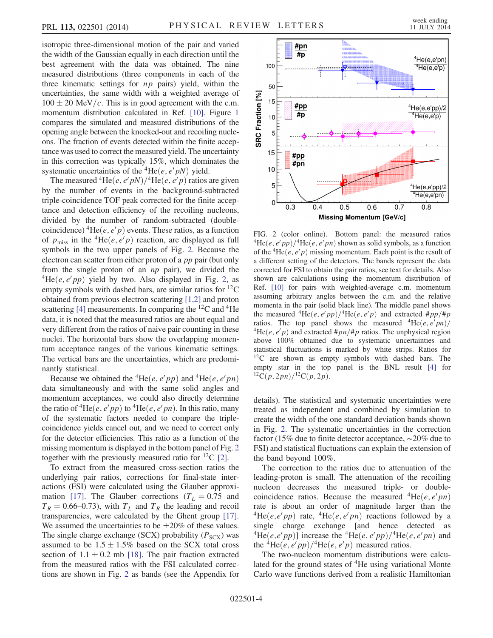isotropic three-dimensional motion of the pair and varied the width of the Gaussian equally in each direction until the best agreement with the data was obtained. The nine measured distributions (three components in each of the three kinematic settings for  $np$  pairs) yield, within the uncertainties, the same width with a weighted average of  $100 \pm 20$  MeV/c. This is in good agreement with the c.m. momentum distribution calculated in Ref. [\[10\].](#page-5-8) Figure [1](#page-2-0) compares the simulated and measured distributions of the opening angle between the knocked-out and recoiling nucleons. The fraction of events detected within the finite acceptance was used to correct the measured yield. The uncertainty in this correction was typically 15%, which dominates the systematic uncertainties of the <sup>4</sup>He(*e*, *e' pN*) yield.

The measured <sup>4</sup>He(*e*, *e' pN*)/<sup>4</sup>He(*e*, *e' p*) ratios are given by the number of events in the background-subtracted triple-coincidence TOF peak corrected for the finite acceptance and detection efficiency of the recoiling nucleons, divided by the number of random-subtracted (doublecoincidence) <sup>4</sup>He(*e*, *e' p*) events. These ratios, as a function of  $p_{\text{miss}}$  in the <sup>4</sup>He $(e, e'p)$  reaction, are displayed as full symbols in the two upper panels of Fig. [2](#page-3-0). Because the electron can scatter from either proton of a *pp* pair (but only from the single proton of an np pair), we divided the  $^{4}$ He $(e, e'pp)$  yield by two. Also displayed in Fig. [2](#page-3-0), as empty symbols with dashed bars, are similar ratios for  ${}^{12}C$ obtained from previous electron scattering [\[1,2\]](#page-4-1) and proton scattering [\[4\]](#page-5-9) measurements. In comparing the  ${}^{12}C$  and  ${}^{4}He$ data, it is noted that the measured ratios are about equal and very different from the ratios of naive pair counting in these nuclei. The horizontal bars show the overlapping momentum acceptance ranges of the various kinematic settings. The vertical bars are the uncertainties, which are predominantly statistical.

Because we obtained the <sup>4</sup>He $(e, e'pp)$  and <sup>4</sup>He $(e, e'pn)$ data simultaneously and with the same solid angles and momentum acceptances, we could also directly determine the ratio of <sup>4</sup>He $(e, e'pp)$  to <sup>4</sup>He $(e, e'pn)$ . In this ratio, many of the systematic factors needed to compare the triplecoincidence yields cancel out, and we need to correct only for the detector efficiencies. This ratio as a function of the missing momentum is displayed in the bottom panel of Fig. [2](#page-3-0) together with the previously measured ratio for  ${}^{12}C$  [\[2\].](#page-4-2)

To extract from the measured cross-section ratios the underlying pair ratios, corrections for final-state interactions (FSI) were calculated using the Glauber approxi-mation [\[17\]](#page-5-10). The Glauber corrections ( $T_L = 0.75$  and  $T_R = 0.66{\text -}0.73$ , with  $T_L$  and  $T_R$  the leading and recoil transparencies, were calculated by the Ghent group [\[17\]](#page-5-10). We assumed the uncertainties to be  $\pm 20\%$  of these values. The single charge exchange (SCX) probability  $(P_{SCX})$  was assumed to be  $1.5 \pm 1.5\%$  based on the SCX total cross section of  $1.1 \pm 0.2$  mb [\[18\].](#page-5-11) The pair fraction extracted from the measured ratios with the FSI calculated corrections are shown in Fig. [2](#page-3-0) as bands (see the Appendix for

<span id="page-3-0"></span>

FIG. 2 (color online). Bottom panel: the measured ratios  ${}^{4}He(e, e'pp)/{}^{4}He(e, e'pn)$  shown as solid symbols, as a function of the <sup>4</sup>He $(e, e'p)$  missing momentum. Each point is the result of a different setting of the detectors. The bands represent the data corrected for FSI to obtain the pair ratios, see text for details. Also shown are calculations using the momentum distribution of Ref. [\[10\]](#page-5-8) for pairs with weighted-average c.m. momentum assuming arbitrary angles between the c.m. and the relative momenta in the pair (solid black line). The middle panel shows the measured  ${}^{4}\text{He}(e, e'pp)/{}^{4}\text{He}(e, e'p)$  and extracted  $#pp/{}^{#}pp$ ratios. The top panel shows the measured  ${}^{4}He(e, e'pn)$ ratios. The top panel shows the measured  ${}^{4}He(e, e'pn)/{}^{4}He(e, e'p)$  and extracted  $#pn/#p$  ratios. The unphysical region above 100% obtained due to systematic uncertainties and statistical fluctuations is marked by white strips. Ratios for  $12C$  are shown as empty symbols with dashed bars. The empty star in the top panel is the BNL result [\[4\]](#page-5-9) for  ${}^{12}C(p,2pn)/{}^{12}C(p,2p).$ 

details). The statistical and systematic uncertainties were treated as independent and combined by simulation to create the width of the one standard deviation bands shown in Fig. [2](#page-3-0). The systematic uncertainties in the correction factor (15% due to finite detector acceptance, ∼20% due to FSI) and statistical fluctuations can explain the extension of the band beyond 100%.

The correction to the ratios due to attenuation of the leading-proton is small. The attenuation of the recoiling nucleon decreases the measured triple- or doublecoincidence ratios. Because the measured  ${}^{4}He(e, e'pn)$ rate is about an order of magnitude larger than the  ${}^{4}\text{He}(e,e^{\prime}pp)$  rate,  ${}^{4}\text{He}(e,e^{\prime}pn)$  reactions followed by a single charge exchange [and hence detected as  ${}^{4}\text{He}(e,e^{\prime}pp)$ ] increase the  ${}^{4}\text{He}(e,e^{\prime}pp)/{}^{4}\text{He}(e,e^{\prime}pn)$  and the  ${}^{4}$ He $(e, e'pp)/{}^{4}$ He $(e, e'p)$  measured ratios.

The two-nucleon momentum distributions were calculated for the ground states of <sup>4</sup>He using variational Monte Carlo wave functions derived from a realistic Hamiltonian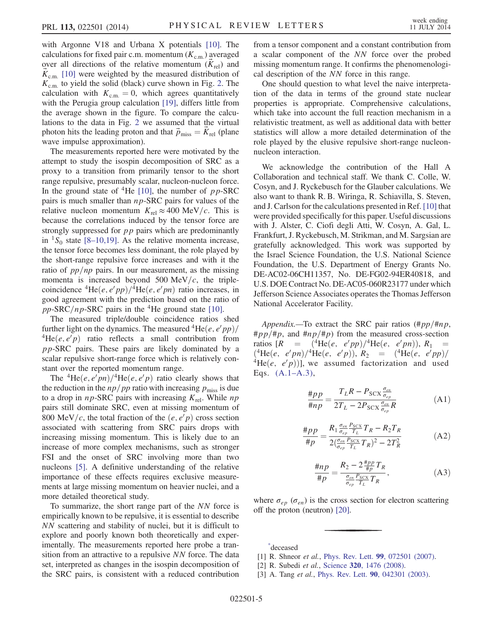with Argonne V18 and Urbana X potentials [\[10\].](#page-5-8) The calculations for fixed pair c.m. momentum  $(K_{c.m.})$  averaged over all directions of the relative momentum  $(K_{rel})$  and  $K_{\rm c.m.}$  [\[10\]](#page-5-8) were weighted by the measured distribution of  $K_{\text{c.m.}}$  to yield the solid (black) curve shown in Fig. [2](#page-3-0). The calculation with  $K_{\text{c.m.}} = 0$ , which agrees quantitatively with the Perugia group calculation [\[19\],](#page-5-12) differs little from the average shown in the figure. To compare the calculations to the data in Fig. [2](#page-3-0) we assumed that the virtual photon hits the leading proton and that  $\vec{p}_{\text{miss}} = K_{\text{rel}}$  (plane wave impulse approximation).

The measurements reported here were motivated by the attempt to study the isospin decomposition of SRC as a proxy to a transition from primarily tensor to the short range repulsive, presumably scalar, nucleon-nucleon force. In the ground state of <sup>4</sup>He [\[10\],](#page-5-8) the number of  $pp$ -SRC pairs is much smaller than  $np$ -SRC pairs for values of the relative nucleon momentum  $K_{rel} \approx 400 \text{ MeV}/c$ . This is because the correlations induced by the tensor force are strongly suppressed for  $pp$  pairs which are predominantly in  ${}^{1}S_{0}$  state [8–[10,19\]](#page-5-1). As the relative momenta increase, the tensor force becomes less dominant, the role played by the short-range repulsive force increases and with it the ratio of  $pp/np$  pairs. In our measurement, as the missing momenta is increased beyond 500 MeV/ $c$ , the triplecoincidence  ${}^{4}$ He $(e, e'pp)/{}^{4}$ He $(e, e'pn)$  ratio increases, in good agreement with the prediction based on the ratio of pp-SRC/np-SRC pairs in the <sup>4</sup>He ground state [\[10\]](#page-5-8).

The measured triple/double coincidence ratios shed further light on the dynamics. The measured  ${}^{4}$ He $(e, e'pp)/$  ${}^{4}He(e, e'p)$  ratio reflects a small contribution from pp-SRC pairs. These pairs are likely dominated by a scalar repulsive short-range force which is relatively constant over the reported momentum range.

The <sup>4</sup>He $(e, e'pn)$ /<sup>4</sup>He $(e, e'p)$  ratio clearly shows that the reduction in the  $np/pp$  ratio with increasing  $p_{\text{miss}}$  is due to a drop in  $np$ -SRC pairs with increasing  $K_{\text{rel}}$ . While  $np$ pairs still dominate SRC, even at missing momentum of 800 MeV/c, the total fraction of the  $(e, e'p)$  cross section associated with scattering from SRC pairs drops with increasing missing momentum. This is likely due to an increase of more complex mechanisms, such as stronger FSI and the onset of SRC involving more than two nucleons [\[5\]](#page-5-0). A definitive understanding of the relative importance of these effects requires exclusive measurements at large missing momentum on heavier nuclei, and a more detailed theoretical study.

To summarize, the short range part of the NN force is empirically known to be repulsive, it is essential to describe NN scattering and stability of nuclei, but it is difficult to explore and poorly known both theoretically and experimentally. The measurements reported here probe a transition from an attractive to a repulsive NN force. The data set, interpreted as changes in the isospin decomposition of the SRC pairs, is consistent with a reduced contribution from a tensor component and a constant contribution from a scalar component of the NN force over the probed missing momentum range. It confirms the phenomenological description of the NN force in this range.

One should question to what level the naive interpretation of the data in terms of the ground state nuclear properties is appropriate. Comprehensive calculations, which take into account the full reaction mechanism in a relativistic treatment, as well as additional data with better statistics will allow a more detailed determination of the role played by the elusive repulsive short-range nucleonnucleon interaction.

We acknowledge the contribution of the Hall A Collaboration and technical staff. We thank C. Colle, W. Cosyn, and J. Ryckebusch for the Glauber calculations. We also want to thank R. B. Wiringa, R. Schiavilla, S. Steven, and J. Carlson for the calculations presented in Ref. [\[10\]](#page-5-8) that were provided specifically for this paper. Useful discussions with J. Alster, C. Ciofi degli Atti, W. Cosyn, A. Gal, L. Frankfurt, J. Ryckebusch, M. Strikman, and M. Sargsian are gratefully acknowledged. This work was supported by the Israel Science Foundation, the U.S. National Science Foundation, the U.S. Department of Energy Grants No. DE-AC02-06CH11357, No. DE-FG02-94ER40818, and U.S. DOE Contract No. DE-AC05-060R23177 under which Jefferson Science Associates operates the Thomas Jefferson National Accelerator Facility.

<span id="page-4-3"></span>Appendix.—To extract the SRC pair ratios  $(\#pp/\#np,$  $\#pp/\#p$ , and  $\#np/\#p$ ) from the measured cross-section ratios  $[R = \frac{4 \text{He}}{e}, \frac{e'pp}{2} \frac{4 \text{He}}{e}, \frac{e'pn}{2}, \frac{R_1}{R_2}$  $({}^{4}\text{He}(e, e'pn) / {}^{4}\text{He}(e, e'p)), R_{2} = ({}^{4}\text{He}(e, e'pp) / {}^{4}\text{He}(e, e'pp)$  $\frac{d^4}{dx^4}$ He $(e, e'p)$ ], we assumed factorization and used Eqs. (A.1–[A.3\),](#page-4-3)

$$
\frac{\#pp}{\#np} = \frac{T_L R - P_{SCX} \frac{\sigma_{en}}{\sigma_{ep}}}{2T_L - 2P_{SCX} \frac{\sigma_{en}}{\sigma_{ep}} R}
$$
(A1)

$$
\frac{t_{PP}}{t_{PP}} = \frac{R_1 \frac{\sigma_{en}}{\sigma_{ep}} \frac{P_{SCX}}{T_L} T_R - R_2 T_R}{2(\frac{\sigma_{en}}{\sigma_{ep}} \frac{P_{SCX}}{T_L} T_R)^2 - 2T_R^2}
$$
(A2)

$$
\frac{\#np}{\#p} = \frac{R_2 - 2\frac{\#pp}{\#p}T_R}{\frac{\sigma_{en}}{\sigma_{ep}}\frac{P_{SCX}}{T_L}T_R},
$$
\n(A3)

where  $\sigma_{ep}$  ( $\sigma_{en}$ ) is the cross section for electron scattering off the proton (neutron) [\[20\].](#page-5-13)

<span id="page-4-1"></span><span id="page-4-0"></span>[\\*](#page-0-0) deceased

 $#$ 

- <span id="page-4-2"></span>[1] R. Shneor *et al.*, Phys. Rev. Lett. **99**[, 072501 \(2007\).](http://dx.doi.org/10.1103/PhysRevLett.99.072501)
- [2] R. Subedi et al., Science 320[, 1476 \(2008\).](http://dx.doi.org/10.1126/science.1156675)
- [3] A. Tang et al., Phys. Rev. Lett. 90[, 042301 \(2003\)](http://dx.doi.org/10.1103/PhysRevLett.90.042301).